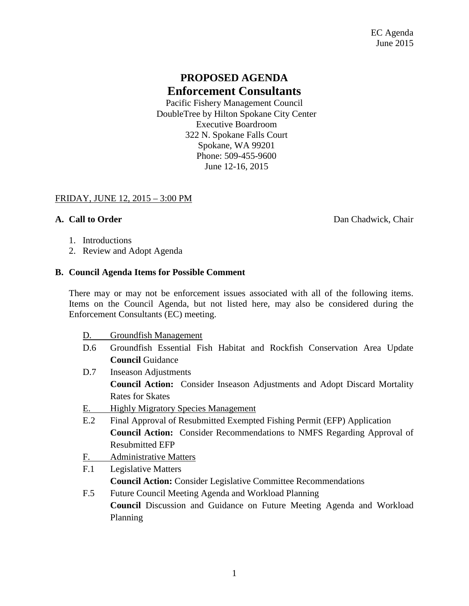# **PROPOSED AGENDA Enforcement Consultants**

Pacific Fishery Management Council DoubleTree by Hilton Spokane City Center Executive Boardroom 322 N. Spokane Falls Court Spokane, WA 99201 Phone: 509-455-9600 June 12-16, 2015

## FRIDAY, JUNE 12, 2015 – 3:00 PM

**A. Call to Order** Dan Chadwick, Chair

- 1. Introductions
- 2. Review and Adopt Agenda

### **B. Council Agenda Items for Possible Comment**

There may or may not be enforcement issues associated with all of the following items. Items on the Council Agenda, but not listed here, may also be considered during the Enforcement Consultants (EC) meeting.

- D. Groundfish Management
- D.6 Groundfish Essential Fish Habitat and Rockfish Conservation Area Update **Council** Guidance
- D.7 Inseason Adjustments **Council Action:** Consider Inseason Adjustments and Adopt Discard Mortality Rates for Skates
- E. Highly Migratory Species Management
- E.2 Final Approval of Resubmitted Exempted Fishing Permit (EFP) Application **Council Action:** Consider Recommendations to NMFS Regarding Approval of Resubmitted EFP
- F. Administrative Matters
- F.1 Legislative Matters

**Council Action:** Consider Legislative Committee Recommendations

F.5 Future Council Meeting Agenda and Workload Planning **Council** Discussion and Guidance on Future Meeting Agenda and Workload Planning